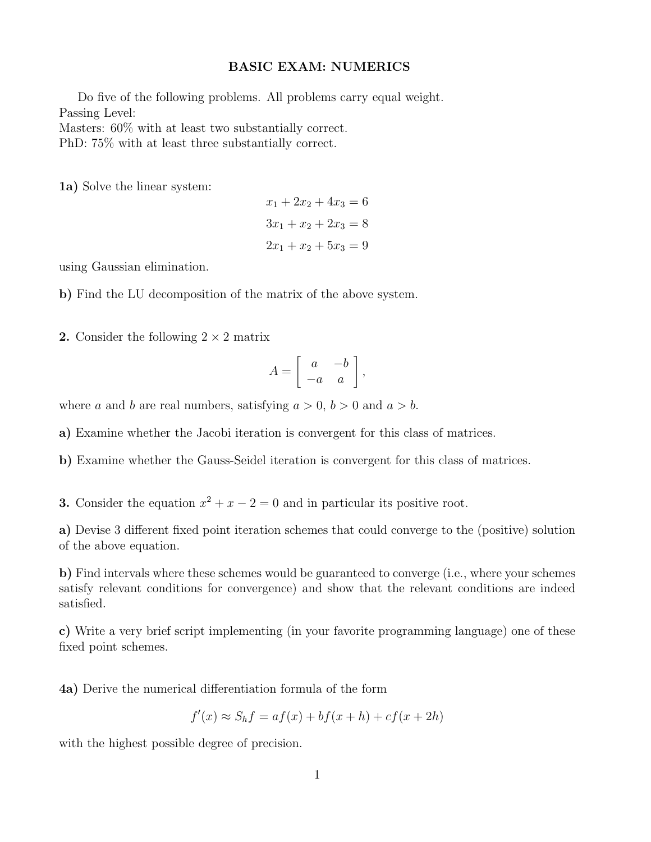## BASIC EXAM: NUMERICS

Do five of the following problems. All problems carry equal weight. Passing Level: Masters: 60% with at least two substantially correct. PhD: 75% with at least three substantially correct.

1a) Solve the linear system:

$$
x_1 + 2x_2 + 4x_3 = 6
$$

$$
3x_1 + x_2 + 2x_3 = 8
$$

$$
2x_1 + x_2 + 5x_3 = 9
$$

using Gaussian elimination.

b) Find the LU decomposition of the matrix of the above system.

**2.** Consider the following  $2 \times 2$  matrix

$$
A = \left[ \begin{array}{cc} a & -b \\ -a & a \end{array} \right],
$$

where a and b are real numbers, satisfying  $a > 0$ ,  $b > 0$  and  $a > b$ .

a) Examine whether the Jacobi iteration is convergent for this class of matrices.

b) Examine whether the Gauss-Seidel iteration is convergent for this class of matrices.

**3.** Consider the equation  $x^2 + x - 2 = 0$  and in particular its positive root.

a) Devise 3 different fixed point iteration schemes that could converge to the (positive) solution of the above equation.

b) Find intervals where these schemes would be guaranteed to converge (i.e., where your schemes satisfy relevant conditions for convergence) and show that the relevant conditions are indeed satisfied.

c) Write a very brief script implementing (in your favorite programming language) one of these fixed point schemes.

4a) Derive the numerical differentiation formula of the form

 $f'(x) \approx S_h f = af(x) + bf(x + h) + cf(x + 2h)$ 

with the highest possible degree of precision.